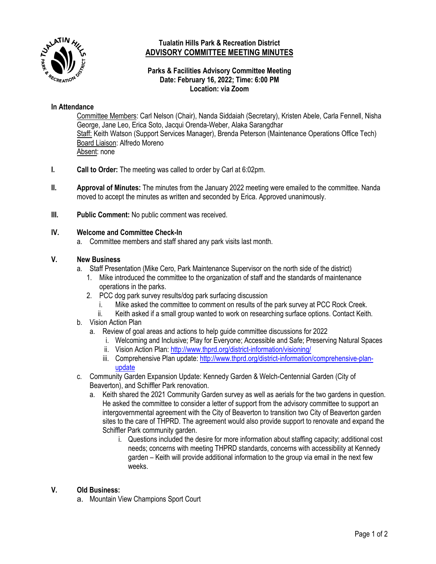

# **Tualatin Hills Park & Recreation District ADVISORY COMMITTEE MEETING MINUTES**

#### **Parks & Facilities Advisory Committee Meeting Date: February 16, 2022; Time: 6:00 PM Location: via Zoom**

## **In Attendance**

Committee Members: Carl Nelson (Chair), Nanda Siddaiah (Secretary), Kristen Abele, Carla Fennell, Nisha George, Jane Leo, Erica Soto, Jacqui Orenda-Weber, Alaka Sarangdhar Staff: Keith Watson (Support Services Manager), Brenda Peterson (Maintenance Operations Office Tech) Board Liaison: Alfredo Moreno Absent: none

- **I. Call to Order:** The meeting was called to order by Carl at 6:02pm.
- **II. Approval of Minutes:** The minutes from the January 2022 meeting were emailed to the committee. Nanda moved to accept the minutes as written and seconded by Erica. Approved unanimously.
- **III.** Public Comment: No public comment was received.

#### **IV. Welcome and Committee Check-In**

a. Committee members and staff shared any park visits last month.

## **V. New Business**

- a. Staff Presentation (Mike Cero, Park Maintenance Supervisor on the north side of the district)
	- 1. Mike introduced the committee to the organization of staff and the standards of maintenance operations in the parks.
	- 2. PCC dog park survey results/dog park surfacing discussion
		- i. Mike asked the committee to comment on results of the park survey at PCC Rock Creek.
		- ii. Keith asked if a small group wanted to work on researching surface options. Contact Keith.
- b. Vision Action Plan
	- a. Review of goal areas and actions to help guide committee discussions for 2022
		- i. Welcoming and Inclusive; Play for Everyone; Accessible and Safe; Preserving Natural Spaces
		- ii. Vision Action Plan[: http://www.thprd.org/district-information/visioning/](http://www.thprd.org/district-information/visioning/)
		- iii. Comprehensive Plan update: [http://www.thprd.org/district-information/comprehensive-plan](http://www.thprd.org/district-information/comprehensive-plan-update)[update](http://www.thprd.org/district-information/comprehensive-plan-update)
- c. Community Garden Expansion Update: Kennedy Garden & Welch-Centennial Garden (City of Beaverton), and Schiffler Park renovation.
	- a. Keith shared the 2021 Community Garden survey as well as aerials for the two gardens in question. He asked the committee to consider a letter of support from the advisory committee to support an intergovernmental agreement with the City of Beaverton to transition two City of Beaverton garden sites to the care of THPRD. The agreement would also provide support to renovate and expand the Schiffler Park community garden.
		- i. Questions included the desire for more information about staffing capacity; additional cost needs; concerns with meeting THPRD standards, concerns with accessibility at Kennedy garden – Keith will provide additional information to the group via email in the next few weeks.

# **V. Old Business:**

a. Mountain View Champions Sport Court